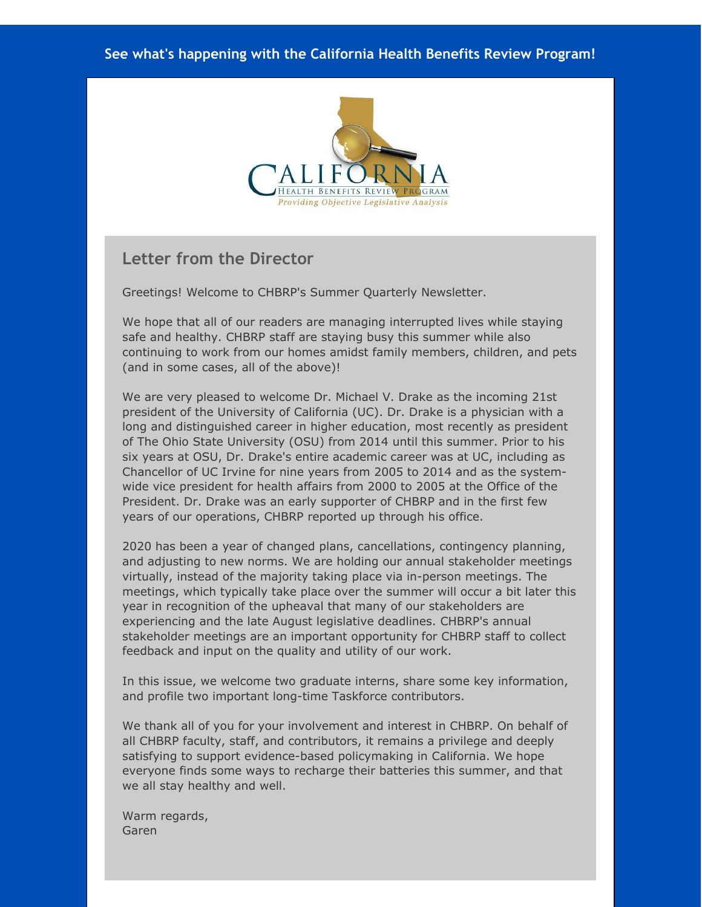#### **See what's happening with the California Health Benefits Review Program!**



#### **Letter from the Director**

Greetings! Welcome to CHBRP's Summer Quarterly Newsletter.

We hope that all of our readers are managing interrupted lives while staying safe and healthy. CHBRP staff are staying busy this summer while also continuing to work from our homes amidst family members, children, and pets (and in some cases, all of the above)!

We are very pleased to welcome Dr. Michael V. Drake as the incoming 21st president of the University of California (UC). Dr. Drake is a physician with a long and distinguished career in higher education, most recently as president of The Ohio State University (OSU) from 2014 until this summer. Prior to his six years at OSU, Dr. Drake's entire academic career was at UC, including as Chancellor of UC Irvine for nine years from 2005 to 2014 and as the systemwide vice president for health affairs from 2000 to 2005 at the Office of the President. Dr. Drake was an early supporter of CHBRP and in the first few years of our operations, CHBRP reported up through his office.

2020 has been a year of changed plans, cancellations, contingency planning, and adjusting to new norms. We are holding our annual stakeholder meetings virtually, instead of the majority taking place via in-person meetings. The meetings, which typically take place over the summer will occur a bit later this year in recognition of the upheaval that many of our stakeholders are experiencing and the late August legislative deadlines. CHBRP's annual stakeholder meetings are an important opportunity for CHBRP staff to collect feedback and input on the quality and utility of our work.

In this issue, we welcome two graduate interns, share some key information, and profile two important long-time Taskforce contributors.

We thank all of you for your involvement and interest in CHBRP. On behalf of all CHBRP faculty, staff, and contributors, it remains a privilege and deeply satisfying to support evidence-based policymaking in California. We hope everyone finds some ways to recharge their batteries this summer, and that we all stay healthy and well.

Warm regards, Garen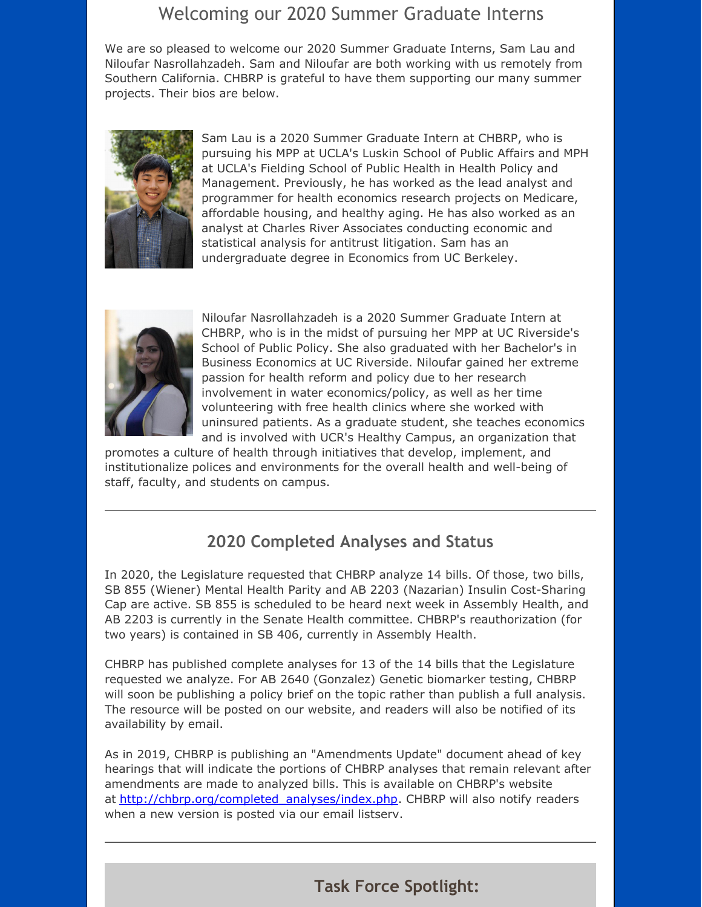# Welcoming our 2020 Summer Graduate Interns

We are so pleased to welcome our 2020 Summer Graduate Interns, Sam Lau and Niloufar Nasrollahzadeh. Sam and Niloufar are both working with us remotely from Southern California. CHBRP is grateful to have them supporting our many summer projects. Their bios are below.



Sam Lau is a 2020 Summer Graduate Intern at CHBRP, who is pursuing his MPP at UCLA's Luskin School of Public Affairs and MPH at UCLA's Fielding School of Public Health in Health Policy and Management. Previously, he has worked as the lead analyst and programmer for health economics research projects on Medicare, affordable housing, and healthy aging. He has also worked as an analyst at Charles River Associates conducting economic and statistical analysis for antitrust litigation. Sam has an undergraduate degree in Economics from UC Berkeley.



Niloufar Nasrollahzadeh is a 2020 Summer Graduate Intern at CHBRP, who is in the midst of pursuing her MPP at UC Riverside's School of Public Policy. She also graduated with her Bachelor's in Business Economics at UC Riverside. Niloufar gained her extreme passion for health reform and policy due to her research involvement in water economics/policy, as well as her time volunteering with free health clinics where she worked with uninsured patients. As a graduate student, she teaches economics and is involved with UCR's Healthy Campus, an organization that

promotes a culture of health through initiatives that develop, implement, and institutionalize polices and environments for the overall health and well-being of staff, faculty, and students on campus.

## **2020 Completed Analyses and Status**

In 2020, the Legislature requested that CHBRP analyze 14 bills. Of those, two bills, SB 855 (Wiener) Mental Health Parity and AB 2203 (Nazarian) Insulin Cost-Sharing Cap are active. SB 855 is scheduled to be heard next week in Assembly Health, and AB 2203 is currently in the Senate Health committee. CHBRP's reauthorization (for two years) is contained in SB 406, currently in Assembly Health.

CHBRP has published complete analyses for 13 of the 14 bills that the Legislature requested we analyze. For AB 2640 (Gonzalez) Genetic biomarker testing, CHBRP will soon be publishing a policy brief on the topic rather than publish a full analysis. The resource will be posted on our website, and readers will also be notified of its availability by email.

As in 2019, CHBRP is publishing an "Amendments Update" document ahead of key hearings that will indicate the portions of CHBRP analyses that remain relevant after amendments are made to analyzed bills. This is available on CHBRP's website at [http://chbrp.org/completed\\_analyses/index.php](http://r20.rs6.net/tn.jsp?f=001qJ_wAgjWx-B_Im1CrdpqdnxmOEE8wPcDymlyV4Q7BXUsy89GXYUERpABCQaBGgw63zJ5SKa4XlvhLqIT7XoQUO946Z7t5Q3PKt_C0-QINVG4JbbE9C9bmIbzqd-Ky1J8BWHIV6Td1g4DxssfnbZuzEarPGrANili08TSa8Y6u1RUxym5cMRQOWyOJS_96XlrG6XGO5WodHPbA0Akm31Ja66LyBR1Y1yENpo-RG-ccC9Osdyyp4wHrxHBQyWu53pTUtsTmv03YcEC-csJdPpL91bR1zLB71SZvPRBYmBs44ihhj1zz1qONAVjsNhWUeH-&c=&ch=). CHBRP will also notify readers when a new version is posted via our email listserv.

## **Task Force Spotlight:**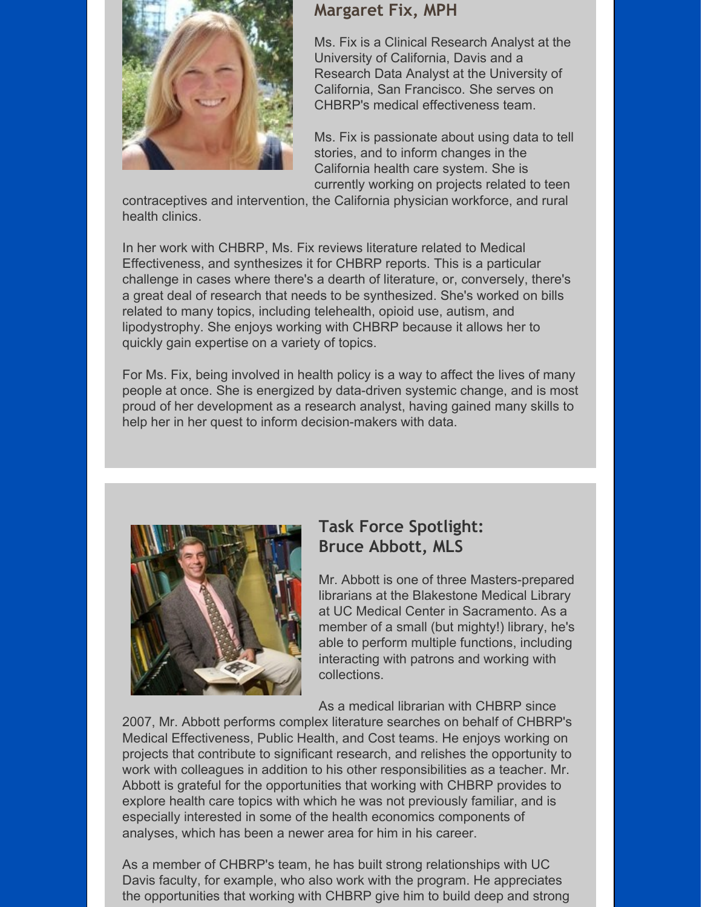

#### **Margaret Fix, MPH**

Ms. Fix is a Clinical Research Analyst at the University of California, Davis and a Research Data Analyst at the University of California, San Francisco. She serves on CHBRP's medical effectiveness team.

Ms. Fix is passionate about using data to tell stories, and to inform changes in the California health care system. She is currently working on projects related to teen

contraceptives and intervention, the California physician workforce, and rural health clinics.

In her work with CHBRP, Ms. Fix reviews literature related to Medical Effectiveness, and synthesizes it for CHBRP reports. This is a particular challenge in cases where there's a dearth of literature, or, conversely, there's a great deal of research that needs to be synthesized. She's worked on bills related to many topics, including telehealth, opioid use, autism, and lipodystrophy. She enjoys working with CHBRP because it allows her to quickly gain expertise on a variety of topics.

For Ms. Fix, being involved in health policy is a way to affect the lives of many people at once. She is energized by data-driven systemic change, and is most proud of her development as a research analyst, having gained many skills to help her in her quest to inform decision-makers with data.



#### **Task Force Spotlight: Bruce Abbott, MLS**

Mr. Abbott is one of three Masters-prepared librarians at the Blakestone Medical Library at UC Medical Center in Sacramento. As a member of a small (but mighty!) library, he's able to perform multiple functions, including interacting with patrons and working with collections.

As a medical librarian with CHBRP since

2007, Mr. Abbott performs complex literature searches on behalf of CHBRP's Medical Effectiveness, Public Health, and Cost teams. He enjoys working on projects that contribute to significant research, and relishes the opportunity to work with colleagues in addition to his other responsibilities as a teacher. Mr. Abbott is grateful for the opportunities that working with CHBRP provides to explore health care topics with which he was not previously familiar, and is especially interested in some of the health economics components of analyses, which has been a newer area for him in his career.

As a member of CHBRP's team, he has built strong relationships with UC Davis faculty, for example, who also work with the program. He appreciates the opportunities that working with CHBRP give him to build deep and strong